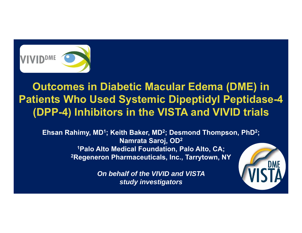

**Outcomes in Diabetic Macular Edema (DME) in Patients Who Used Systemic Dipeptidyl Peptidase-4 (DPP-4) Inhibitors in the VISTA and VIVID trials** 

**Ehsan Rahimy, MD1; Keith Baker, MD 2; Desmond Thompson, PhD 2; Namrata Saroj, OD 2 1Palo Alto Medical Foundation, Palo Alto, CA; 2Regeneron Pharmaceuticals, Inc., Tarrytown, NY**

> *On behalf of the VIVID and VISTA study investigators*

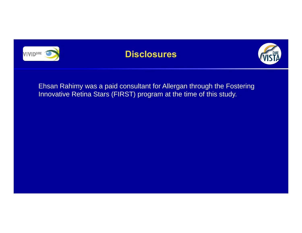

### **Disclosures**



Ehsan Rahimy was a paid consultant for Allergan through the Fostering Innovative Retina Stars (FIRST) program at the time of this study.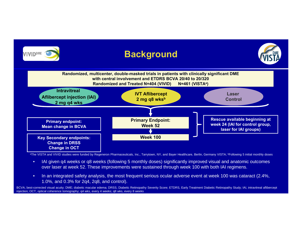

aThe VISTA and VIVID studies were funded by Regeneron Pharmaceuticals, Inc., Tarrytown, NY, and Bayer Healthcare, Berlin, Germany VISTA; <sup>b</sup>Following 5 initial monthly doses

- • IAI given q4 weeks or q8 weeks (following 5 monthly doses) significantly improved visual and anatomic outcomes over laser at week 52. These improvements were sustained through week 100 with both IAI regimens.
- $\bullet$  In an integrated safety analysis, the most frequent serious ocular adverse event at week 100 was cataract (2.4%, 1.0%, and 0.3% for 2q4, 2q8, and control).

BCVA, best-corrected visual acuity; DME; diabetic macular edema; DRSS, Diabetic Retinopathy Severity Score; ETDRS, Early Treatment Diabetic Retinopathy Study; IAI, intravitreal aflibercept injection; OCT, optical coherence tomography; q4 wks, every 4 weeks; q8 wks, every 8 weeks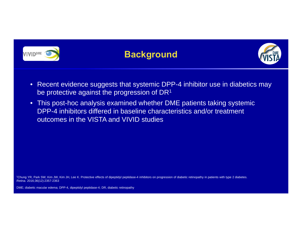

#### **Background**



- Recent evidence suggests that systemic DPP-4 inhibitor use in diabetics may be protective against the progression of DR<sup>1</sup>
- This post-hoc analysis examined whether DME patients taking systemic DPP-4 inhibitors differed in baseline characteristics and/or treatment outcomes in the VISTA and VIVID studies

1Chung YR, Park SW, Kim JW, Kim JH, Lee K. Protective effects of dipeptidyl peptidase-4 inhibitors on progression of diabetic retinopathy in patients with type 2 diabetes. *Retina.* 2016;36(12):2357-2363

DME; diabetic macular edema; DPP-4, dipeptidyl peptidase-4; DR, diabetic retinopathy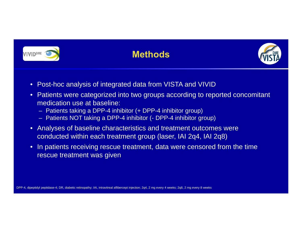

## **Methods**



- Post-hoc analysis of integrated data from VISTA and VIVID
- Patients were categorized into two groups according to reported concomitant medication use at baseline:
	- Patients taking a DPP-4 inhibitor (+ DPP-4 inhibitor group)
	- Patients NOT taking a DPP-4 inhibitor (- DPP-4 inhibitor group)
- Analyses of baseline characteristics and treatment outcomes were conducted within each treatment group (laser, IAI 2q4, IAI 2q8)
- $\bullet$  In patients receiving rescue treatment, data were censored from the time rescue treatment was given

DPP-4, dipeptidyl peptidase-4; DR, diabetic retinopathy; IAI, intravitreal aflibercept injection; 2q4, 2 mg every 4 weeks; 2q8, 2 mg every 8 weeks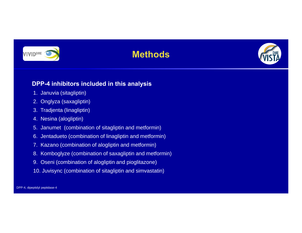# **VIVIDDME**

## **Methods**



#### **DPP-4 inhibitors included in this analysis**

- 1. Januvia (sitagliptin)
- 2. Onglyza (saxagliptin)
- 3. Tradjenta (linagliptin)
- 4. Nesina (alogliptin)
- 5. Janumet (combination of sitagliptin and metformin)
- 6. Jentadueto (combination of linagliptin and metformin)
- 7. Kazano (combination of alogliptin and metformin)
- 8. Komboglyze (combination of saxagliptin and metformin)
- 9. Oseni (combination of alogliptin and pioglitazone)
- 10. Juvisync (combination of sitagliptin and simvastatin)

DPP-4, dipeptidyl peptidase-4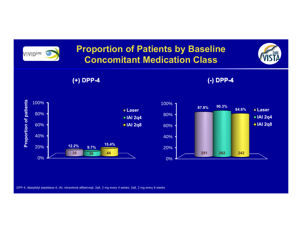

#### **Proportion of Patients by Baseline Concomitant Medication Class**



**(+) DPP-4 (-) DPP-4 DPP-4**







DPP-4, dipeptidyl peptidase-4; IAI, intravitreal aflibercept; 2q4, 2 mg every 4 weeks; 2q8, 2 mg every 8 weeks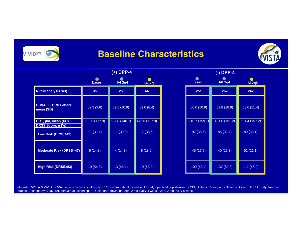**VIVIDDME** 

#### **Baseline Characteristics**



|                                          | (+) DPP-4          |                |                             | $(-)$ DPP-4   |                |                |
|------------------------------------------|--------------------|----------------|-----------------------------|---------------|----------------|----------------|
|                                          | $\bullet$<br>Laser | <b>IAI 2q4</b> | $\bullet$<br><b>IAI 2q8</b> | <b>Laser</b>  | <b>IAI 2q4</b> | <b>IAI 2q8</b> |
| N (full analysis set)                    | 35                 | 28             | 44                          | 251           | 262            | 242            |
| <b>BCVA, ETDRS Letters,</b><br>mean (SD) | 62.3 (9.6)         | 59.5 (10.9)    | 62.0(8.4)                   | 60.0 (10.9)   | 59.8 (10.8)    | 58.6 (11.4)    |
| CRT, µm, mean (SD)                       | 502.5 (117.9)      | 507.8 (146.7)  | 476.6 (117.8)               | 510.7 (159.7) | 491.6 (151.2)  | 501.4 (157.2)  |
| DRSS Score, n (%)                        |                    |                |                             |               |                |                |
| Low Risk (DRSS≤43)                       | 11(31.4)           | 11(39.3)       | 17 (38.6)                   | 97 (38.6)     | 85 (32.4)      | 80(33.1)       |
| <b>Moderate Risk (DRSS=47)</b>           | 5(14.3)            | 4(14.3)        | 8(18.2)                     | 45 (17.9)     | 40 (15.3)      | 51(21.1)       |
| High Risk (DRSS253)                      | 19 (54.3)          | 13(46.4)       | 19 (43.2)                   | 109 (43.4)    | 137 (52.3)     | 111 (45.9)     |

| (-) DPP-4<br><b>IAI 2q4</b><br><b>Laser</b><br><b>IAI 2q8</b> |               |               |  |  |  |
|---------------------------------------------------------------|---------------|---------------|--|--|--|
| 251                                                           | 262           | 242           |  |  |  |
| 60.0(10.9)                                                    | 59.8 (10.8)   | 58.6 (11.4)   |  |  |  |
| 510.7 (159.7)                                                 | 491.6 (151.2) | 501.4 (157.2) |  |  |  |
| 97 (38.6)                                                     | 85 (32.4)     | 80 (33.1)     |  |  |  |
| 45 (17.9)                                                     | 40(15.3)      | 51(21.1)      |  |  |  |
| 109 (43.4)                                                    | 137 (52.3)    | 111(45.9)     |  |  |  |

Integrated VISTA & VIVID. BCVA, best-corrected visual acuity; CRT; central retinal thickness; DPP-4, dipeptidyl peptidase-4; DRSS, Diabetic Retinopathy Severity Score; ETDRS, Early Treatment Diabetic Retinopathy Study; IAI, intravitreal aflibercept; SD, standard deviation; 2q4, 2 mg every 4 weeks; 2q8, 2 mg every 8 weeks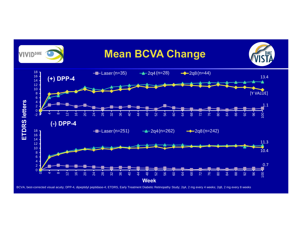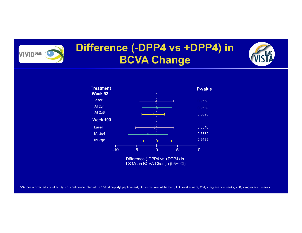

## **Difference (-DPP4 vs +DPP4) in BCVA Change**



LS Mean BCVA Change (95% CI)

BCVA, best-corrected visual acuity; CI, confidence interval; DPP-4, dipeptidyl peptidase-4; IAI, intravitreal aflibercept; LS, least square; 2q4, 2 mg every 4 weeks; 2q8, 2 mg every 8 weeks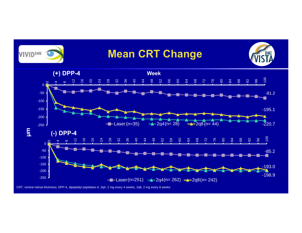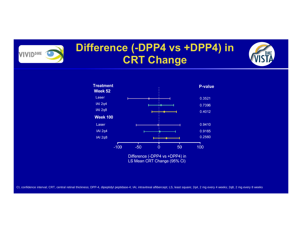## **Difference (-DPP4 vs +DPP4) in CRT Change**

**VIVIDDME** 



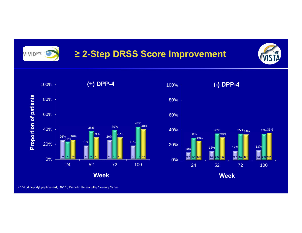

## **≥ 2-Step DRSS Score Improvement**





DPP-4, dipeptidyl peptidase-4; DRSS, Diabetic Retinopathy Severity Score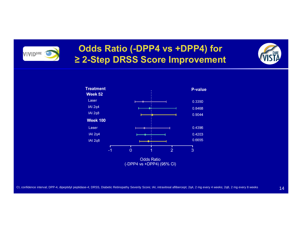

#### **Odds Ratio (-DPP4 vs +DPP4) for ≥ 2-Step DRSS Score Improvement**



CI, confidence interval; DPP-4, dipeptidyl peptidase-4; DRSS, Diabetic Retinopathy Severity Score; IAI, intravitreal aflibercept; 2q4, 2 mg every 4 weeks; 2q8, 2 mg every 8 weeks

14